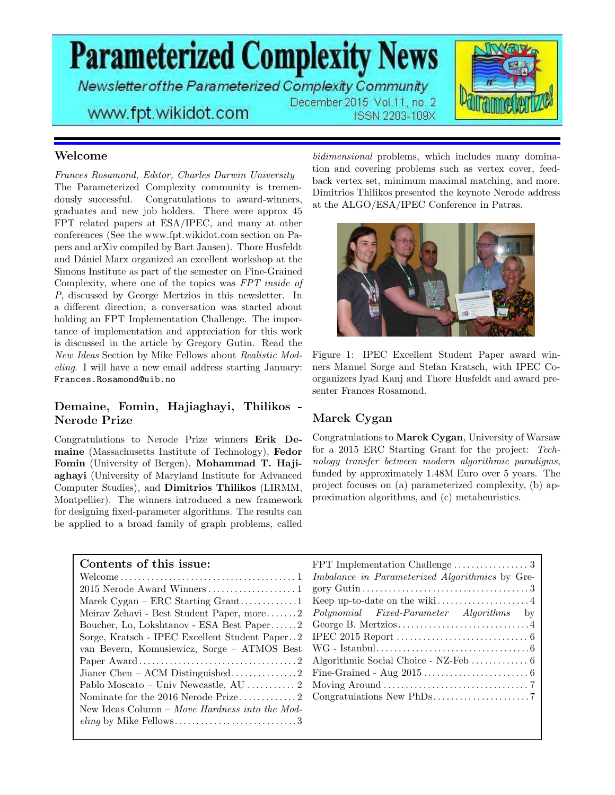**Parameterized Complexity News** 

Newsletter of the Parameterized Complexity Community December 2015 Vol.11, no. 2



## www.fpt.wikidot.com

ISSN 2203-109X

### Welcome

Frances Rosamond, Editor, Charles Darwin University The Parameterized Complexity community is tremendously successful. Congratulations to award-winners, graduates and new job holders. There were approx 45 FPT related papers at ESA/IPEC, and many at other conferences (See the www.fpt.wikidot.com section on Papers and arXiv compiled by Bart Jansen). Thore Husfeldt and Dániel Marx organized an excellent workshop at the Simons Institute as part of the semester on Fine-Grained Complexity, where one of the topics was FPT inside of P, discussed by George Mertzios in this newsletter. In a different direction, a conversation was started about holding an FPT Implementation Challenge. The importance of implementation and appreciation for this work is discussed in the article by Gregory Gutin. Read the New Ideas Section by Mike Fellows about Realistic Modeling. I will have a new email address starting January: Frances.Rosamond@uib.no

### Demaine, Fomin, Hajiaghayi, Thilikos - Nerode Prize

Congratulations to Nerode Prize winners Erik Demaine (Massachusetts Institute of Technology), Fedor Fomin (University of Bergen), Mohammad T. Hajiaghayi (University of Maryland Institute for Advanced Computer Studies), and Dimitrios Thilikos (LIRMM, Montpellier). The winners introduced a new framework for designing fixed-parameter algorithms. The results can be applied to a broad family of graph problems, called

bidimensional problems, which includes many domination and covering problems such as vertex cover, feedback vertex set, minimum maximal matching, and more. Dimitrios Thilikos presented the keynote Nerode address at the ALGO/ESA/IPEC Conference in Patras.



Figure 1: IPEC Excellent Student Paper award winners Manuel Sorge and Stefan Kratsch, with IPEC Coorganizers Iyad Kanj and Thore Husfeldt and award presenter Frances Rosamond.

### Marek Cygan

Congratulations to Marek Cygan, University of Warsaw for a 2015 ERC Starting Grant for the project: Technology transfer between modern algorithmic paradigms, funded by approximately 1.48M Euro over 5 years. The project focuses on (a) parameterized complexity, (b) approximation algorithms, and (c) metaheuristics.

| Contents of this issue:                        |                                                 |
|------------------------------------------------|-------------------------------------------------|
|                                                | Imbalance in Parameterized Algorithmics by Gre- |
|                                                |                                                 |
| Marek Cygan – ERC Starting Grant1              |                                                 |
| Meirav Zehavi - Best Student Paper, more2      | <i>Polynomial Fixed-Parameter Algorithms</i> by |
| Boucher, Lo, Lokshtanov - ESA Best Paper2      |                                                 |
| Sorge, Kratsch - IPEC Excellent Student Paper2 |                                                 |
| van Bevern, Komusiewicz, Sorge – ATMOS Best    |                                                 |
|                                                |                                                 |
|                                                |                                                 |
|                                                |                                                 |
|                                                |                                                 |
| New Ideas Column – Move Hardness into the Mod- |                                                 |
|                                                |                                                 |
|                                                |                                                 |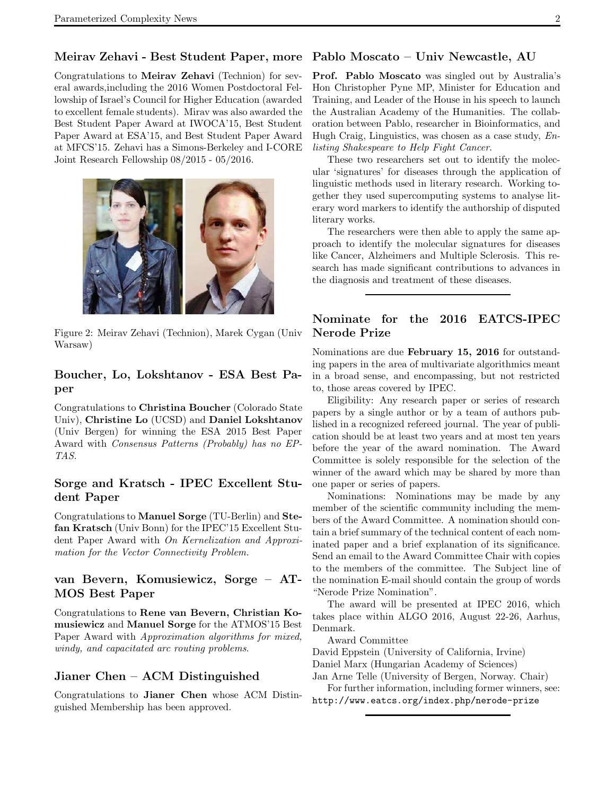### Meirav Zehavi - Best Student Paper, more Pablo Moscato – Univ Newcastle, AU

Congratulations to Meirav Zehavi (Technion) for several awards,including the 2016 Women Postdoctoral Fellowship of Israel's Council for Higher Education (awarded to excellent female students). Mirav was also awarded the Best Student Paper Award at IWOCA'15, Best Student Paper Award at ESA'15, and Best Student Paper Award at MFCS'15. Zehavi has a Simons-Berkeley and I-CORE Joint Research Fellowship 08/2015 - 05/2016.



Figure 2: Meirav Zehavi (Technion), Marek Cygan (Univ Warsaw)

### Boucher, Lo, Lokshtanov - ESA Best Paper

Congratulations to Christina Boucher (Colorado State Univ), Christine Lo (UCSD) and Daniel Lokshtanov (Univ Bergen) for winning the ESA 2015 Best Paper Award with Consensus Patterns (Probably) has no EP-TAS.

### Sorge and Kratsch - IPEC Excellent Student Paper

Congratulations to Manuel Sorge (TU-Berlin) and Stefan Kratsch (Univ Bonn) for the IPEC'15 Excellent Student Paper Award with On Kernelization and Approximation for the Vector Connectivity Problem.

### van Bevern, Komusiewicz, Sorge – AT-MOS Best Paper

Congratulations to Rene van Bevern, Christian Komusiewicz and Manuel Sorge for the ATMOS'15 Best Paper Award with Approximation algorithms for mixed, windy, and capacitated arc routing problems.

### Jianer Chen – ACM Distinguished

Congratulations to Jianer Chen whose ACM Distinguished Membership has been approved.

Prof. Pablo Moscato was singled out by Australia's Hon Christopher Pyne MP, Minister for Education and Training, and Leader of the House in his speech to launch the Australian Academy of the Humanities. The collaboration between Pablo, researcher in Bioinformatics, and Hugh Craig, Linguistics, was chosen as a case study, Enlisting Shakespeare to Help Fight Cancer.

These two researchers set out to identify the molecular 'signatures' for diseases through the application of linguistic methods used in literary research. Working together they used supercomputing systems to analyse literary word markers to identify the authorship of disputed literary works.

The researchers were then able to apply the same approach to identify the molecular signatures for diseases like Cancer, Alzheimers and Multiple Sclerosis. This research has made significant contributions to advances in the diagnosis and treatment of these diseases.

### Nominate for the 2016 EATCS-IPEC Nerode Prize

Nominations are due February 15, 2016 for outstanding papers in the area of multivariate algorithmics meant in a broad sense, and encompassing, but not restricted to, those areas covered by IPEC.

Eligibility: Any research paper or series of research papers by a single author or by a team of authors published in a recognized refereed journal. The year of publication should be at least two years and at most ten years before the year of the award nomination. The Award Committee is solely responsible for the selection of the winner of the award which may be shared by more than one paper or series of papers.

Nominations: Nominations may be made by any member of the scientific community including the members of the Award Committee. A nomination should contain a brief summary of the technical content of each nominated paper and a brief explanation of its significance. Send an email to the Award Committee Chair with copies to the members of the committee. The Subject line of the nomination E-mail should contain the group of words "Nerode Prize Nomination".

The award will be presented at IPEC 2016, which takes place within ALGO 2016, August 22-26, Aarhus, Denmark.

Award Committee

David Eppstein (University of California, Irvine)

Daniel Marx (Hungarian Academy of Sciences)

Jan Arne Telle (University of Bergen, Norway. Chair) For further information, including former winners, see: http://www.eatcs.org/index.php/nerode-prize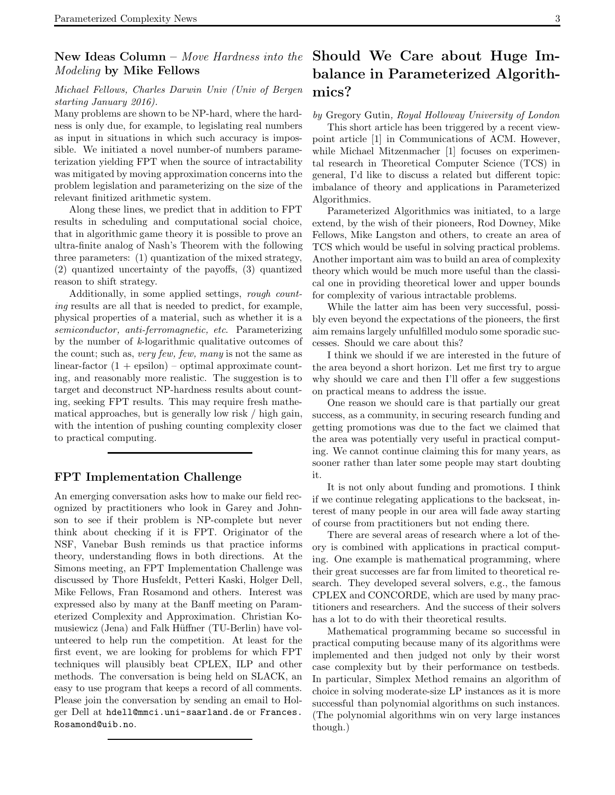# Modeling by Mike Fellows

### Michael Fellows, Charles Darwin Univ (Univ of Bergen starting January 2016).

Many problems are shown to be NP-hard, where the hardness is only due, for example, to legislating real numbers as input in situations in which such accuracy is impossible. We initiated a novel number-of numbers parameterization yielding FPT when the source of intractability was mitigated by moving approximation concerns into the problem legislation and parameterizing on the size of the relevant finitized arithmetic system.

Along these lines, we predict that in addition to FPT results in scheduling and computational social choice, that in algorithmic game theory it is possible to prove an ultra-finite analog of Nash's Theorem with the following three parameters: (1) quantization of the mixed strategy, (2) quantized uncertainty of the payoffs, (3) quantized reason to shift strategy.

Additionally, in some applied settings, rough counting results are all that is needed to predict, for example, physical properties of a material, such as whether it is a semiconductor, anti-ferromagnetic, etc. Parameterizing by the number of k-logarithmic qualitative outcomes of the count; such as, very few, few, many is not the same as linear-factor  $(1 + \text{epsilon})$  – optimal approximate counting, and reasonably more realistic. The suggestion is to target and deconstruct NP-hardness results about counting, seeking FPT results. This may require fresh mathematical approaches, but is generally low risk / high gain, with the intention of pushing counting complexity closer to practical computing.

### FPT Implementation Challenge

An emerging conversation asks how to make our field recognized by practitioners who look in Garey and Johnson to see if their problem is NP-complete but never think about checking if it is FPT. Originator of the NSF, Vanebar Bush reminds us that practice informs theory, understanding flows in both directions. At the Simons meeting, an FPT Implementation Challenge was discussed by Thore Husfeldt, Petteri Kaski, Holger Dell, Mike Fellows, Fran Rosamond and others. Interest was expressed also by many at the Banff meeting on Parameterized Complexity and Approximation. Christian Komusiewicz (Jena) and Falk Hüffner (TU-Berlin) have volunteered to help run the competition. At least for the first event, we are looking for problems for which FPT techniques will plausibly beat CPLEX, ILP and other methods. The conversation is being held on SLACK, an easy to use program that keeps a record of all comments. Please join the conversation by sending an email to Holger Dell at hdell@mmci.uni-saarland.de or Frances. Rosamond@uib.no.

### New Ideas Column – Move Hardness into the Should We Care about Huge Imbalance in Parameterized Algorithmics?

### by Gregory Gutin, Royal Holloway University of London

This short article has been triggered by a recent viewpoint article [1] in Communications of ACM. However, while Michael Mitzenmacher [1] focuses on experimental research in Theoretical Computer Science (TCS) in general, I'd like to discuss a related but different topic: imbalance of theory and applications in Parameterized Algorithmics.

Parameterized Algorithmics was initiated, to a large extend, by the wish of their pioneers, Rod Downey, Mike Fellows, Mike Langston and others, to create an area of TCS which would be useful in solving practical problems. Another important aim was to build an area of complexity theory which would be much more useful than the classical one in providing theoretical lower and upper bounds for complexity of various intractable problems.

While the latter aim has been very successful, possibly even beyond the expectations of the pioneers, the first aim remains largely unfulfilled modulo some sporadic successes. Should we care about this?

I think we should if we are interested in the future of the area beyond a short horizon. Let me first try to argue why should we care and then I'll offer a few suggestions on practical means to address the issue.

One reason we should care is that partially our great success, as a community, in securing research funding and getting promotions was due to the fact we claimed that the area was potentially very useful in practical computing. We cannot continue claiming this for many years, as sooner rather than later some people may start doubting it.

It is not only about funding and promotions. I think if we continue relegating applications to the backseat, interest of many people in our area will fade away starting of course from practitioners but not ending there.

There are several areas of research where a lot of theory is combined with applications in practical computing. One example is mathematical programming, where their great successes are far from limited to theoretical research. They developed several solvers, e.g., the famous CPLEX and CONCORDE, which are used by many practitioners and researchers. And the success of their solvers has a lot to do with their theoretical results.

Mathematical programming became so successful in practical computing because many of its algorithms were implemented and then judged not only by their worst case complexity but by their performance on testbeds. In particular, Simplex Method remains an algorithm of choice in solving moderate-size LP instances as it is more successful than polynomial algorithms on such instances. (The polynomial algorithms win on very large instances though.)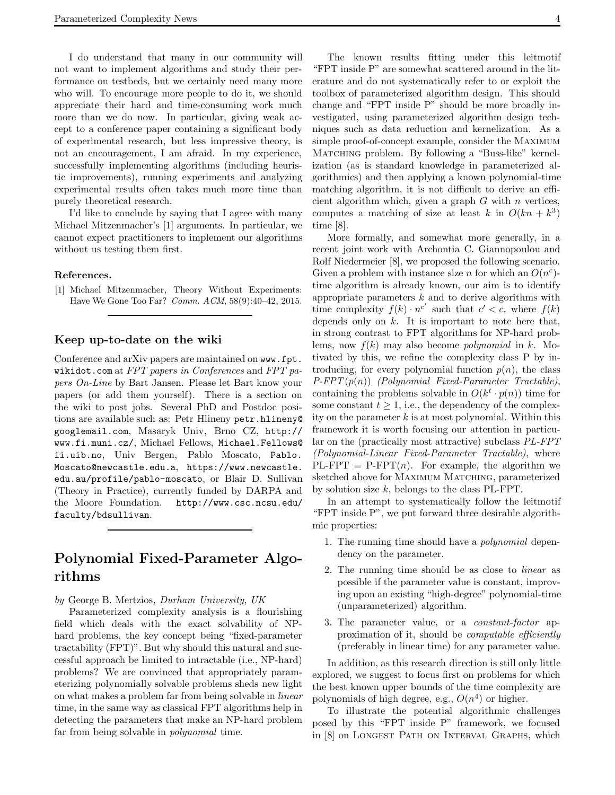I do understand that many in our community will not want to implement algorithms and study their performance on testbeds, but we certainly need many more who will. To encourage more people to do it, we should appreciate their hard and time-consuming work much more than we do now. In particular, giving weak accept to a conference paper containing a significant body of experimental research, but less impressive theory, is not an encouragement, I am afraid. In my experience, successfully implementing algorithms (including heuristic improvements), running experiments and analyzing experimental results often takes much more time than purely theoretical research.

I'd like to conclude by saying that I agree with many Michael Mitzenmacher's [1] arguments. In particular, we cannot expect practitioners to implement our algorithms without us testing them first.

#### References.

[1] Michael Mitzenmacher, Theory Without Experiments: Have We Gone Too Far? Comm. ACM, 58(9):40–42, 2015.

#### Keep up-to-date on the wiki

Conference and arXiv papers are maintained on www.fpt. wikidot.com at FPT papers in Conferences and FPT papers On-Line by Bart Jansen. Please let Bart know your papers (or add them yourself). There is a section on the wiki to post jobs. Several PhD and Postdoc positions are available such as: Petr Hlineny petr.hlineny@ googlemail.com, Masaryk Univ, Brno CZ, http:// www.fi.muni.cz/, Michael Fellows, Michael.Fellows@ ii.uib.no, Univ Bergen, Pablo Moscato, Pablo. Moscato@newcastle.edu.a, https://www.newcastle. edu.au/profile/pablo-moscato, or Blair D. Sullivan (Theory in Practice), currently funded by DARPA and the Moore Foundation. http://www.csc.ncsu.edu/ faculty/bdsullivan.

### Polynomial Fixed-Parameter Algorithms

by George B. Mertzios, Durham University, UK

Parameterized complexity analysis is a flourishing field which deals with the exact solvability of NPhard problems, the key concept being "fixed-parameter tractability (FPT)". But why should this natural and successful approach be limited to intractable (i.e., NP-hard) problems? We are convinced that appropriately parameterizing polynomially solvable problems sheds new light on what makes a problem far from being solvable in linear time, in the same way as classical FPT algorithms help in detecting the parameters that make an NP-hard problem far from being solvable in polynomial time.

The known results fitting under this leitmotif "FPT inside P" are somewhat scattered around in the literature and do not systematically refer to or exploit the toolbox of parameterized algorithm design. This should change and "FPT inside P" should be more broadly investigated, using parameterized algorithm design techniques such as data reduction and kernelization. As a simple proof-of-concept example, consider the Maximum Matching problem. By following a "Buss-like" kernelization (as is standard knowledge in parameterized algorithmics) and then applying a known polynomial-time matching algorithm, it is not difficult to derive an efficient algorithm which, given a graph  $G$  with  $n$  vertices, computes a matching of size at least k in  $O(kn + k^3)$ time [8].

More formally, and somewhat more generally, in a recent joint work with Archontia C. Giannopoulou and Rolf Niedermeier [8], we proposed the following scenario. Given a problem with instance size *n* for which an  $O(n^c)$ time algorithm is already known, our aim is to identify appropriate parameters  $k$  and to derive algorithms with time complexity  $f(k) \cdot n^{c'}$  such that  $c' < c$ , where  $f(k)$ depends only on  $k$ . It is important to note here that, in strong contrast to FPT algorithms for NP-hard problems, now  $f(k)$  may also become *polynomial* in k. Motivated by this, we refine the complexity class P by introducing, for every polynomial function  $p(n)$ , the class  $P-FPT(p(n))$  (Polynomial Fixed-Parameter Tractable), containing the problems solvable in  $O(k^t \cdot p(n))$  time for some constant  $t \geq 1$ , i.e., the dependency of the complexity on the parameter  $k$  is at most polynomial. Within this framework it is worth focusing our attention in particular on the (practically most attractive) subclass PL-FPT (Polynomial-Linear Fixed-Parameter Tractable), where  $PL-FPT = P-FPT(n)$ . For example, the algorithm we sketched above for MAXIMUM MATCHING, parameterized by solution size  $k$ , belongs to the class PL-FPT.

In an attempt to systematically follow the leitmotif "FPT inside P", we put forward three desirable algorithmic properties:

- 1. The running time should have a polynomial dependency on the parameter.
- 2. The running time should be as close to linear as possible if the parameter value is constant, improving upon an existing "high-degree" polynomial-time (unparameterized) algorithm.
- 3. The parameter value, or a constant-factor approximation of it, should be *computable efficiently* (preferably in linear time) for any parameter value.

In addition, as this research direction is still only little explored, we suggest to focus first on problems for which the best known upper bounds of the time complexity are polynomials of high degree, e.g.,  $O(n^4)$  or higher.

To illustrate the potential algorithmic challenges posed by this "FPT inside P" framework, we focused in [8] on Longest Path on Interval Graphs, which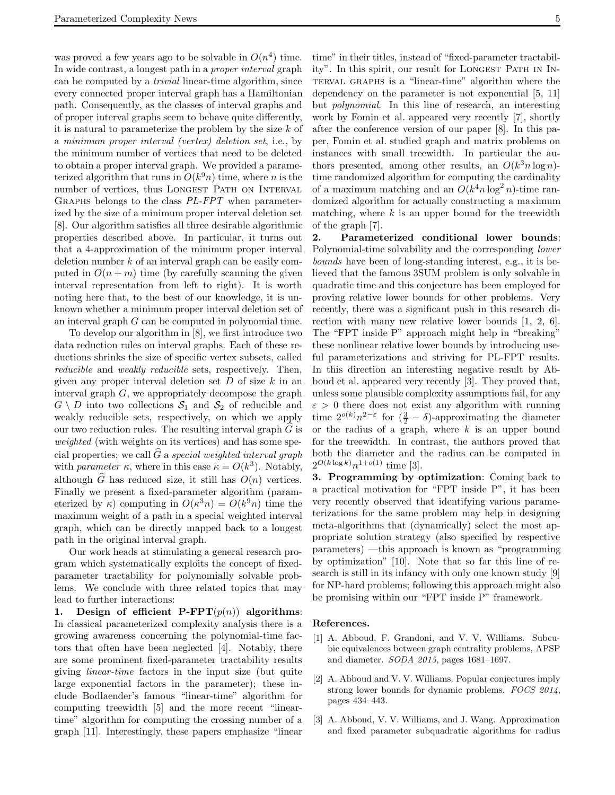was proved a few years ago to be solvable in  $O(n^4)$  time. In wide contrast, a longest path in a proper interval graph can be computed by a trivial linear-time algorithm, since every connected proper interval graph has a Hamiltonian path. Consequently, as the classes of interval graphs and of proper interval graphs seem to behave quite differently, it is natural to parameterize the problem by the size k of a minimum proper interval (vertex) deletion set, i.e., by the minimum number of vertices that need to be deleted to obtain a proper interval graph. We provided a parameterized algorithm that runs in  $O(k^{9}n)$  time, where n is the number of vertices, thus LONGEST PATH ON INTERVAL Graphs belongs to the class PL-FPT when parameterized by the size of a minimum proper interval deletion set [8]. Our algorithm satisfies all three desirable algorithmic properties described above. In particular, it turns out that a 4-approximation of the minimum proper interval deletion number  $k$  of an interval graph can be easily computed in  $O(n+m)$  time (by carefully scanning the given interval representation from left to right). It is worth noting here that, to the best of our knowledge, it is unknown whether a minimum proper interval deletion set of an interval graph G can be computed in polynomial time.

To develop our algorithm in [8], we first introduce two data reduction rules on interval graphs. Each of these reductions shrinks the size of specific vertex subsets, called reducible and weakly reducible sets, respectively. Then, given any proper interval deletion set  $D$  of size  $k$  in an interval graph G, we appropriately decompose the graph  $G \setminus D$  into two collections  $S_1$  and  $S_2$  of reducible and weakly reducible sets, respectively, on which we apply our two reduction rules. The resulting interval graph  $G$  is weighted (with weights on its vertices) and has some special properties; we call  $\widehat{G}$  a special weighted interval graph with *parameter*  $\kappa$ , where in this case  $\kappa = O(k^3)$ . Notably, although  $\widehat{G}$  has reduced size, it still has  $O(n)$  vertices. Finally we present a fixed-parameter algorithm (parameterized by  $\kappa$ ) computing in  $O(\kappa^3 n) = O(k^9 n)$  time the maximum weight of a path in a special weighted interval graph, which can be directly mapped back to a longest path in the original interval graph.

Our work heads at stimulating a general research program which systematically exploits the concept of fixedparameter tractability for polynomially solvable problems. We conclude with three related topics that may lead to further interactions:

1. Design of efficient  $\text{P-FPT}(p(n))$  algorithms: In classical parameterized complexity analysis there is a growing awareness concerning the polynomial-time factors that often have been neglected [4]. Notably, there are some prominent fixed-parameter tractability results giving linear-time factors in the input size (but quite large exponential factors in the parameter); these include Bodlaender's famous "linear-time" algorithm for computing treewidth [5] and the more recent "lineartime" algorithm for computing the crossing number of a graph [11]. Interestingly, these papers emphasize "linear

time" in their titles, instead of "fixed-parameter tractability". In this spirit, our result for LONGEST PATH IN INterval graphs is a "linear-time" algorithm where the dependency on the parameter is not exponential [5, 11] but polynomial. In this line of research, an interesting work by Fomin et al. appeared very recently [7], shortly after the conference version of our paper [8]. In this paper, Fomin et al. studied graph and matrix problems on instances with small treewidth. In particular the authors presented, among other results, an  $O(k^3 n \log n)$ time randomized algorithm for computing the cardinality of a maximum matching and an  $O(k^4 n \log^2 n)$ -time randomized algorithm for actually constructing a maximum

of the graph [7]. 2. Parameterized conditional lower bounds: Polynomial-time solvability and the corresponding lower bounds have been of long-standing interest, e.g., it is believed that the famous 3SUM problem is only solvable in quadratic time and this conjecture has been employed for proving relative lower bounds for other problems. Very recently, there was a significant push in this research direction with many new relative lower bounds [1, 2, 6]. The "FPT inside P" approach might help in "breaking" these nonlinear relative lower bounds by introducing useful parameterizations and striving for PL-FPT results. In this direction an interesting negative result by Abboud et al. appeared very recently [3]. They proved that, unless some plausible complexity assumptions fail, for any  $\varepsilon > 0$  there does not exist any algorithm with running time  $2^{o(k)}n^{2-\varepsilon}$  for  $(\frac{3}{2}-\delta)$ -approximating the diameter or the radius of a graph, where  $k$  is an upper bound for the treewidth. In contrast, the authors proved that both the diameter and the radius can be computed in  $2^{O(k \log k)} n^{1+o(1)}$  time [3].

matching, where  $k$  is an upper bound for the treewidth

3. Programming by optimization: Coming back to a practical motivation for "FPT inside P", it has been very recently observed that identifying various parameterizations for the same problem may help in designing meta-algorithms that (dynamically) select the most appropriate solution strategy (also specified by respective parameters) —this approach is known as "programming by optimization" [10]. Note that so far this line of research is still in its infancy with only one known study [9] for NP-hard problems; following this approach might also be promising within our "FPT inside P" framework.

#### References.

- [1] A. Abboud, F. Grandoni, and V. V. Williams. Subcubic equivalences between graph centrality problems, APSP and diameter. SODA 2015, pages 1681–1697.
- [2] A. Abboud and V. V. Williams. Popular conjectures imply strong lower bounds for dynamic problems. FOCS 2014, pages 434–443.
- [3] A. Abboud, V. V. Williams, and J. Wang. Approximation and fixed parameter subquadratic algorithms for radius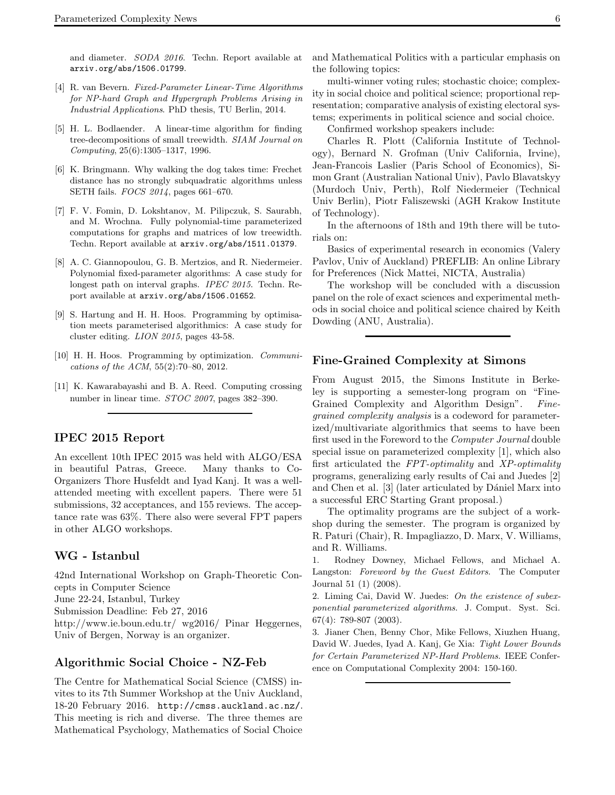and diameter. SODA 2016. Techn. Report available at arxiv.org/abs/1506.01799.

- [4] R. van Bevern. Fixed-Parameter Linear-Time Algorithms for NP-hard Graph and Hypergraph Problems Arising in Industrial Applications. PhD thesis, TU Berlin, 2014.
- [5] H. L. Bodlaender. A linear-time algorithm for finding tree-decompositions of small treewidth. SIAM Journal on Computing, 25(6):1305–1317, 1996.
- [6] K. Bringmann. Why walking the dog takes time: Frechet distance has no strongly subquadratic algorithms unless SETH fails. FOCS 2014, pages 661–670.
- [7] F. V. Fomin, D. Lokshtanov, M. Pilipczuk, S. Saurabh, and M. Wrochna. Fully polynomial-time parameterized computations for graphs and matrices of low treewidth. Techn. Report available at arxiv.org/abs/1511.01379.
- [8] A. C. Giannopoulou, G. B. Mertzios, and R. Niedermeier. Polynomial fixed-parameter algorithms: A case study for longest path on interval graphs. IPEC 2015. Techn. Report available at arxiv.org/abs/1506.01652.
- [9] S. Hartung and H. H. Hoos. Programming by optimisation meets parameterised algorithmics: A case study for cluster editing. LION 2015, pages 43-58.
- [10] H. H. Hoos. Programming by optimization. Communications of the ACM, 55(2):70–80, 2012.
- [11] K. Kawarabayashi and B. A. Reed. Computing crossing number in linear time. STOC 2007, pages 382–390.

### IPEC 2015 Report

An excellent 10th IPEC 2015 was held with ALGO/ESA in beautiful Patras, Greece. Many thanks to Co-Organizers Thore Husfeldt and Iyad Kanj. It was a wellattended meeting with excellent papers. There were 51 submissions, 32 acceptances, and 155 reviews. The acceptance rate was 63%. There also were several FPT papers in other ALGO workshops.

### WG - Istanbul

42nd International Workshop on Graph-Theoretic Concepts in Computer Science June 22-24, Istanbul, Turkey Submission Deadline: Feb 27, 2016 http://www.ie.boun.edu.tr/ wg2016/ Pinar Heggernes, Univ of Bergen, Norway is an organizer.

### Algorithmic Social Choice - NZ-Feb

The Centre for Mathematical Social Science (CMSS) invites to its 7th Summer Workshop at the Univ Auckland, 18-20 February 2016. http://cmss.auckland.ac.nz/. This meeting is rich and diverse. The three themes are Mathematical Psychology, Mathematics of Social Choice and Mathematical Politics with a particular emphasis on the following topics:

multi-winner voting rules; stochastic choice; complexity in social choice and political science; proportional representation; comparative analysis of existing electoral systems; experiments in political science and social choice.

Confirmed workshop speakers include:

Charles R. Plott (California Institute of Technology), Bernard N. Grofman (Univ California, Irvine), Jean-Francois Laslier (Paris School of Economics), Simon Grant (Australian National Univ), Pavlo Blavatskyy (Murdoch Univ, Perth), Rolf Niedermeier (Technical Univ Berlin), Piotr Faliszewski (AGH Krakow Institute of Technology).

In the afternoons of 18th and 19th there will be tutorials on:

Basics of experimental research in economics (Valery Pavlov, Univ of Auckland) PREFLIB: An online Library for Preferences (Nick Mattei, NICTA, Australia)

The workshop will be concluded with a discussion panel on the role of exact sciences and experimental methods in social choice and political science chaired by Keith Dowding (ANU, Australia).

### Fine-Grained Complexity at Simons

From August 2015, the Simons Institute in Berkeley is supporting a semester-long program on "Fine-Grained Complexity and Algorithm Design". Finegrained complexity analysis is a codeword for parameterized/multivariate algorithmics that seems to have been first used in the Foreword to the Computer Journal double special issue on parameterized complexity [1], which also first articulated the FPT-optimality and XP-optimality programs, generalizing early results of Cai and Juedes [2] and Chen et al. [3] (later articulated by Dániel Marx into a successful ERC Starting Grant proposal.)

The optimality programs are the subject of a workshop during the semester. The program is organized by R. Paturi (Chair), R. Impagliazzo, D. Marx, V. Williams, and R. Williams.

1. Rodney Downey, Michael Fellows, and Michael A. Langston: Foreword by the Guest Editors. The Computer Journal 51 (1) (2008).

2. Liming Cai, David W. Juedes: On the existence of subexponential parameterized algorithms. J. Comput. Syst. Sci. 67(4): 789-807 (2003).

3. Jianer Chen, Benny Chor, Mike Fellows, Xiuzhen Huang, David W. Juedes, Iyad A. Kanj, Ge Xia: Tight Lower Bounds for Certain Parameterized NP-Hard Problems. IEEE Conference on Computational Complexity 2004: 150-160.